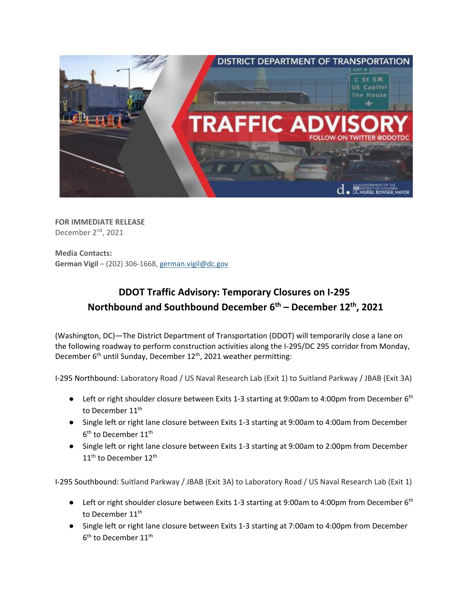

**FOR IMMEDIATE RELEASE** December 2<sup>nd</sup>, 2021

**Media Contacts: German Vigil** – (202) 306-1668[, german.vigil@dc.gov](mailto:german.vigil@dc.gov)

## **DDOT Traffic Advisory: Temporary Closures on I-295 Northbound and Southbound December 6th – December 12th , 2021**

(Washington, DC)—The District Department of Transportation (DDOT) will temporarily close a lane on the following roadway to perform construction activities along the I-295/DC 295 corridor from Monday, December 6<sup>th</sup> until Sunday, December 12<sup>th</sup>, 2021 weather permitting:

I-295 Northbound: Laboratory Road / US Naval Research Lab (Exit 1) to Suitland Parkway / JBAB (Exit 3A)

- Left or right shoulder closure between Exits 1-3 starting at 9:00am to 4:00pm from December 6<sup>th</sup> to December 11<sup>th</sup>
- Single left or right lane closure between Exits 1-3 starting at 9:00am to 4:00am from December  $6^{\text{th}}$  to December 11 $^{\text{th}}$
- Single left or right lane closure between Exits 1-3 starting at 9:00am to 2:00pm from December 11<sup>th</sup> to December 12<sup>th</sup>

I-295 Southbound: Suitland Parkway / JBAB (Exit 3A) to Laboratory Road / US Naval Research Lab (Exit 1)

- Left or right shoulder closure between Exits 1-3 starting at 9:00am to 4:00pm from December 6<sup>th</sup> to December 11<sup>th</sup>
- Single left or right lane closure between Exits 1-3 starting at 7:00am to 4:00pm from December  $6^{\text{th}}$  to December 11 $^{\text{th}}$